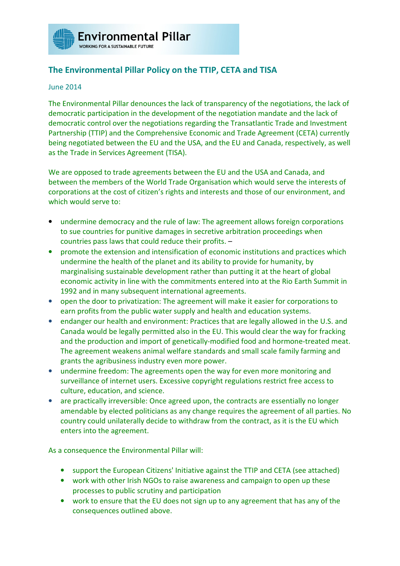

## **The Environmental Pillar Policy on the TTIP, CETA and TISA**

## June 2014

The Environmental Pillar denounces the lack of transparency of the negotiations, the lack of democratic participation in the development of the negotiation mandate and the lack of democratic control over the negotiations regarding the Transatlantic Trade and Investment Partnership (TTIP) and the Comprehensive Economic and Trade Agreement (CETA) currently being negotiated between the EU and the USA, and the EU and Canada, respectively, as well as the Trade in Services Agreement (TISA).

We are opposed to trade agreements between the EU and the USA and Canada, and between the members of the World Trade Organisation which would serve the interests of corporations at the cost of citizen's rights and interests and those of our environment, and which would serve to:

- undermine democracy and the rule of law: The agreement allows foreign corporations to sue countries for punitive damages in secretive arbitration proceedings when countries pass laws that could reduce their profits. –
- promote the extension and intensification of economic institutions and practices which undermine the health of the planet and its ability to provide for humanity, by marginalising sustainable development rather than putting it at the heart of global economic activity in line with the commitments entered into at the Rio Earth Summit in 1992 and in many subsequent international agreements.
- open the door to privatization: The agreement will make it easier for corporations to earn profits from the public water supply and health and education systems.
- endanger our health and environment: Practices that are legally allowed in the U.S. and Canada would be legally permitted also in the EU. This would clear the way for fracking and the production and import of genetically-modified food and hormone-treated meat. The agreement weakens animal welfare standards and small scale family farming and grants the agribusiness industry even more power.
- undermine freedom: The agreements open the way for even more monitoring and surveillance of internet users. Excessive copyright regulations restrict free access to culture, education, and science.
- are practically irreversible: Once agreed upon, the contracts are essentially no longer amendable by elected politicians as any change requires the agreement of all parties. No country could unilaterally decide to withdraw from the contract, as it is the EU which enters into the agreement.

As a consequence the Environmental Pillar will:

- support the European Citizens' Initiative against the TTIP and CETA (see attached)
- work with other Irish NGOs to raise awareness and campaign to open up these processes to public scrutiny and participation
- work to ensure that the EU does not sign up to any agreement that has any of the consequences outlined above.